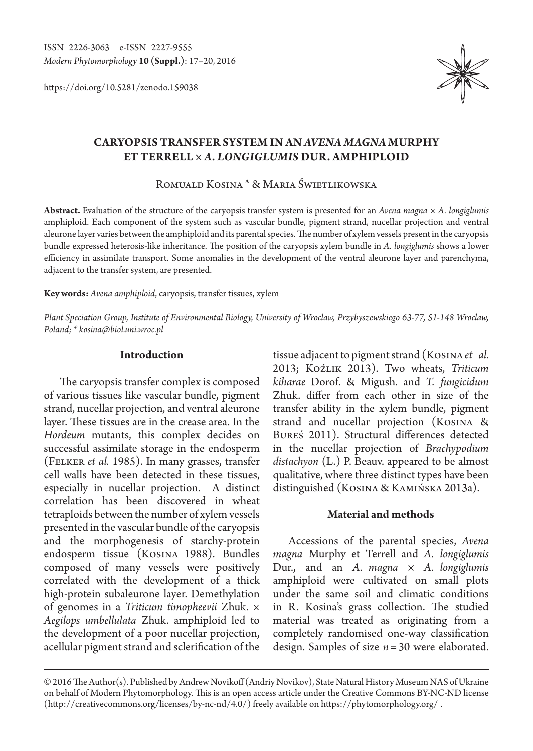https://doi.org/10.5281/zenodo.159038



# **CARYOPSIS TRANSFER SYSTEM IN AN** *AVENA MAGNA* **MURPHY ET TERRELL ×** *A. LONGIGLUMIS* **DUR. AMPHIPLOID**

Romuald Kosina \* & Maria Świetlikowska

**Abstract.** Evaluation of the structure of the caryopsis transfer system is presented for an *Avena magna × A. longiglumis*  amphiploid. Each component of the system such as vascular bundle, pigment strand, nucellar projection and ventral aleurone layer varies between the amphiploid and its parental species. The number of xylem vessels present in the caryopsis bundle expressed heterosis-like inheritance. The position of the caryopsis xylem bundle in *A. longiglumis* shows a lower efficiency in assimilate transport. Some anomalies in the development of the ventral aleurone layer and parenchyma, adjacent to the transfer system, are presented.

**Key words:** *Avena amphiploid*, caryopsis, transfer tissues, xylem

*Plant Speciation Group, Institute of Environmental Biology, University of Wroclaw, Przybyszewskiego 63-77, 51-148 Wroclaw, Poland; \* kosina@biol.uni.wroc.pl*

#### **Introduction**

The caryopsis transfer complex is composed of various tissues like vascular bundle, pigment strand, nucellar projection, and ventral aleurone layer. These tissues are in the crease area. In the *Hordeum* mutants, this complex decides on successful assimilate storage in the endosperm (Felker *et al.* 1985). In many grasses, transfer cell walls have been detected in these tissues, especially in nucellar projection. A distinct correlation has been discovered in wheat tetraploids between the number of xylem vessels presented in the vascular bundle of the caryopsis and the morphogenesis of starchy-protein endosperm tissue (Kosina 1988). Bundles composed of many vessels were positively correlated with the development of a thick high-protein subaleurone layer. Demethylation of genomes in a *Triticum timopheevii* Zhuk. × *Aegilops umbellulata* Zhuk. amphiploid led to the development of a poor nucellar projection, acellular pigment strand and sclerification of the

tissue adjacent to pigment strand (Kosina *et al.* 2013; Koźlik 2013). Two wheats, *Triticum kiharae* Dorof. & Migush. and *T. fungicidum*  Zhuk. differ from each other in size of the transfer ability in the xylem bundle, pigment strand and nucellar projection (Kosina & Bureś 2011). Structural differences detected in the nucellar projection of *Brachypodium distachyon* (L.) P. Beauv. appeared to be almost qualitative, where three distinct types have been distinguished (Kosina & Kamińska 2013a).

# **Material and methods**

Accessions of the parental species, *Avena magna* Murphy et Terrell and *A. longiglumis* Dur., and an *A. magna* × *A. longiglumis*  amphiploid were cultivated on small plots under the same soil and climatic conditions in R. Kosina's grass collection. The studied material was treated as originating from a completely randomised one-way classification design. Samples of size *n*=30 were elaborated.

<sup>© 2016</sup> The Author(s). Published by Andrew Novikoff (Andriy Novikov), State Natural History Museum NAS of Ukraine on behalf of Modern Phytomorphology. This is an open access article under the Creative Commons BY-NC-ND license (http://creativecommons.org/licenses/by-nc-nd/4.0/) freely available on https://phytomorphology.org/ .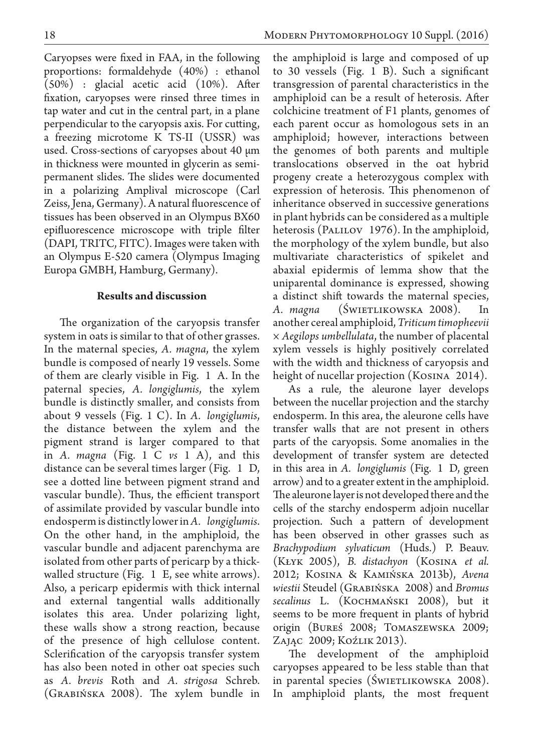Caryopses were fixed in FAA, in the following proportions: formaldehyde (40%) : ethanol (50%) : glacial acetic acid (10%). After fixation, caryopses were rinsed three times in tap water and cut in the central part, in a plane perpendicular to the caryopsis axis. For cutting, a freezing microtome K TS-II (USSR) was used. Cross-sections of caryopses about 40 µm in thickness were mounted in glycerin as semipermanent slides. The slides were documented in a polarizing Amplival microscope (Carl Zeiss, Jena, Germany). A natural fluorescence of tissues has been observed in an Olympus BX60 epifluorescence microscope with triple filter (DAPI, TRITC, FITC). Images were taken with an Olympus E-520 camera (Olympus Imaging Europa GMBH, Hamburg, Germany).

# **Results and discussion**

The organization of the caryopsis transfer system in oats is similar to that of other grasses. In the maternal species, *A. magna*, the xylem bundle is composed of nearly 19 vessels. Some of them are clearly visible in Fig. 1 A. In the paternal species, *A. longiglumis*, the xylem bundle is distinctly smaller, and consists from about 9 vessels (Fig. 1 C). In *A. longiglumis*, the distance between the xylem and the pigment strand is larger compared to that in *A. magna* (Fig. 1 C *vs* 1 A), and this distance can be several times larger (Fig. 1 D, see a dotted line between pigment strand and vascular bundle). Thus, the efficient transport of assimilate provided by vascular bundle into endosperm is distinctly lower in *A. longiglumis*. On the other hand, in the amphiploid, the vascular bundle and adjacent parenchyma are isolated from other parts of pericarp by a thickwalled structure (Fig. 1 E, see white arrows). Also, a pericarp epidermis with thick internal and external tangential walls additionally isolates this area. Under polarizing light, these walls show a strong reaction, because of the presence of high cellulose content. Sclerification of the caryopsis transfer system has also been noted in other oat species such as *A. brevis* Roth and *A. strigosa* Schreb. (Grabińska 2008). The xylem bundle in

the amphiploid is large and composed of up to 30 vessels (Fig. 1 B). Such a significant transgression of parental characteristics in the amphiploid can be a result of heterosis. After colchicine treatment of F1 plants, genomes of each parent occur as homologous sets in an amphiploid; however, interactions between the genomes of both parents and multiple translocations observed in the oat hybrid progeny create a heterozygous complex with expression of heterosis. This phenomenon of inheritance observed in successive generations in plant hybrids can be considered as a multiple heterosis (PALILOV 1976). In the amphiploid, the morphology of the xylem bundle, but also multivariate characteristics of spikelet and abaxial epidermis of lemma show that the uniparental dominance is expressed, showing a distinct shift towards the maternal species, A. *magna* (SWIETLIKOWSKA 2008). In another cereal amphiploid, *Triticum timopheevii × Aegilops umbellulata*, the number of placental xylem vessels is highly positively correlated with the width and thickness of caryopsis and height of nucellar projection (Kosina 2014).

As a rule, the aleurone layer develops between the nucellar projection and the starchy endosperm. In this area, the aleurone cells have transfer walls that are not present in others parts of the caryopsis. Some anomalies in the development of transfer system are detected in this area in *A. longiglumis* (Fig. 1 D, green arrow) and to a greater extent in the amphiploid. The aleurone layer is not developed there and the cells of the starchy endosperm adjoin nucellar projection. Such a pattern of development has been observed in other grasses such as *Brachypodium sylvaticum* (Huds.) P. Beauv. (Kłyk 2005), *B. distachyon* (Kosina *et al.*  2012; Kosina & Kamińska 2013b), *Avena wiestii* Steudel (Grabińska 2008) and *Bromus secalinus* L. (Kochmański 2008), but it seems to be more frequent in plants of hybrid origin (Bureś 2008; Tomaszewska 2009; Zając 2009; Koźlik 2013).

The development of the amphiploid caryopses appeared to be less stable than that in parental species (ŚWIETLIKOWSKA 2008). In amphiploid plants, the most frequent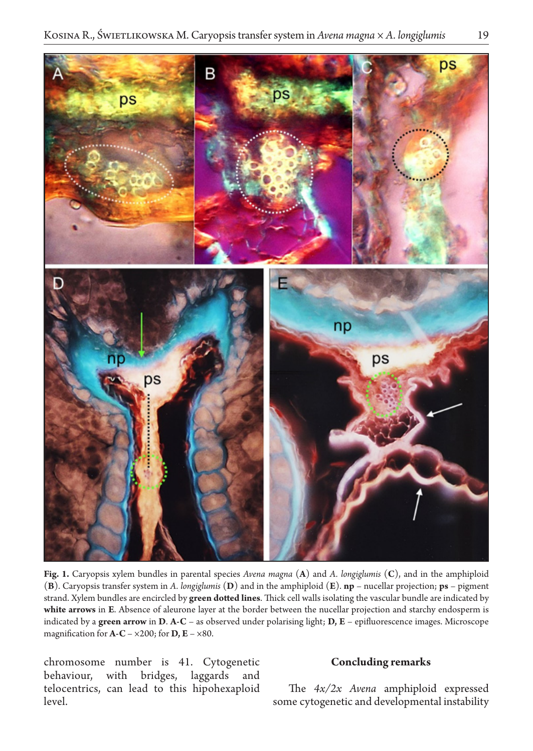

**Fig. 1.** Caryopsis xylem bundles in parental species *Avena magna* (**A**) and *A. longiglumis* (**C**), and in the amphiploid (**B**). Caryopsis transfer system in *A. longiglumis* (**D**) and in the amphiploid (**E**). **np** – nucellar projection; **ps** – pigment strand. Xylem bundles are encircled by **green dotted lines**. Thick cell walls isolating the vascular bundle are indicated by **white arrows** in **E**. Absence of aleurone layer at the border between the nucellar projection and starchy endosperm is indicated by a **green arrow** in **D**. **A-C** – as observed under polarising light; **D, E** – epifluorescence images. Microscope magnification for  $\mathbf{A}-\mathbf{C} - \times 200$ ; for  $\mathbf{D}, \mathbf{E} - \times 80$ .

chromosome number is 41. Cytogenetic behaviour, with bridges, laggards and telocentrics, can lead to this hipohexaploid level.

### **Concluding remarks**

The *4x/2x Avena* amphiploid expressed some cytogenetic and developmental instability